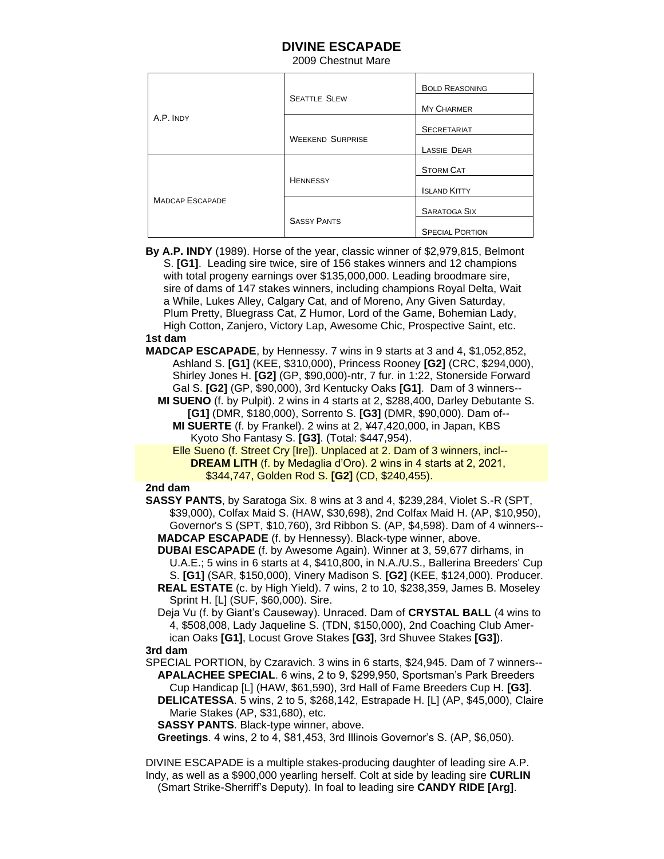## **DIVINE ESCAPADE**

2009 Chestnut Mare

| A.P. INDY              | <b>SEATTLE SLEW</b>     | <b>BOLD REASONING</b>  |
|------------------------|-------------------------|------------------------|
|                        |                         | <b>MY CHARMER</b>      |
|                        |                         | <b>SECRETARIAT</b>     |
|                        | <b>WEEKEND SURPRISE</b> | LASSIE DEAR            |
| <b>MADCAP ESCAPADE</b> | <b>HENNESSY</b>         | <b>STORM CAT</b>       |
|                        |                         | <b>ISLAND KITTY</b>    |
|                        |                         | <b>SARATOGA SIX</b>    |
|                        | <b>SASSY PANTS</b>      | <b>SPECIAL PORTION</b> |

 **By A.P. INDY** (1989). Horse of the year, classic winner of \$2,979,815, Belmont S. **[G1]**. Leading sire twice, sire of 156 stakes winners and 12 champions with total progeny earnings over \$135,000,000. Leading broodmare sire, sire of dams of 147 stakes winners, including champions Royal Delta, Wait a While, Lukes Alley, Calgary Cat, and of Moreno, Any Given Saturday, Plum Pretty, Bluegrass Cat, Z Humor, Lord of the Game, Bohemian Lady, High Cotton, Zanjero, Victory Lap, Awesome Chic, Prospective Saint, etc.  **1st dam** 

 **MADCAP ESCAPADE**, by Hennessy. 7 wins in 9 starts at 3 and 4, \$1,052,852, Ashland S. **[G1]** (KEE, \$310,000), Princess Rooney **[G2]** (CRC, \$294,000), Shirley Jones H. **[G2]** (GP, \$90,000)-ntr, 7 fur. in 1:22, Stonerside Forward Gal S. **[G2]** (GP, \$90,000), 3rd Kentucky Oaks **[G1]**. Dam of 3 winners--

 **MI SUENO** (f. by Pulpit). 2 wins in 4 starts at 2, \$288,400, Darley Debutante S. **[G1]** (DMR, \$180,000), Sorrento S. **[G3]** (DMR, \$90,000). Dam of-- **MI SUERTE** (f. by Frankel). 2 wins at 2, ¥47,420,000, in Japan, KBS Kyoto Sho Fantasy S. **[G3]**. (Total: \$447,954).

 Elle Sueno (f. Street Cry [Ire]). Unplaced at 2. Dam of 3 winners, incl-- **DREAM LITH** (f. by Medaglia d'Oro). 2 wins in 4 starts at 2, 2021, \$344,747, Golden Rod S. **[G2]** (CD, \$240,455).

## **2nd dam**

 **SASSY PANTS**, by Saratoga Six. 8 wins at 3 and 4, \$239,284, Violet S.-R (SPT, \$39,000), Colfax Maid S. (HAW, \$30,698), 2nd Colfax Maid H. (AP, \$10,950), Governor's S (SPT, \$10,760), 3rd Ribbon S. (AP, \$4,598). Dam of 4 winners-- **MADCAP ESCAPADE** (f. by Hennessy). Black-type winner, above.

 **DUBAI ESCAPADE** (f. by Awesome Again). Winner at 3, 59,677 dirhams, in U.A.E.; 5 wins in 6 starts at 4, \$410,800, in N.A./U.S., Ballerina Breeders' Cup S. **[G1]** (SAR, \$150,000), Vinery Madison S. **[G2]** (KEE, \$124,000). Producer.

- **REAL ESTATE** (c. by High Yield). 7 wins, 2 to 10, \$238,359, James B. Moseley Sprint H. [L] (SUF, \$60,000). Sire.
- Deja Vu (f. by Giant's Causeway). Unraced. Dam of **CRYSTAL BALL** (4 wins to 4, \$508,008, Lady Jaqueline S. (TDN, \$150,000), 2nd Coaching Club Amer ican Oaks **[G1]**, Locust Grove Stakes **[G3]**, 3rd Shuvee Stakes **[G3]**).

## **3rd dam**

 SPECIAL PORTION, by Czaravich. 3 wins in 6 starts, \$24,945. Dam of 7 winners-- **APALACHEE SPECIAL**. 6 wins, 2 to 9, \$299,950, Sportsman's Park Breeders Cup Handicap [L] (HAW, \$61,590), 3rd Hall of Fame Breeders Cup H. **[G3]**.

 **DELICATESSA**. 5 wins, 2 to 5, \$268,142, Estrapade H. [L] (AP, \$45,000), Claire Marie Stakes (AP, \$31,680), etc.

**SASSY PANTS**. Black-type winner, above.

**Greetings**. 4 wins, 2 to 4, \$81,453, 3rd Illinois Governor's S. (AP, \$6,050).

 DIVINE ESCAPADE is a multiple stakes-producing daughter of leading sire A.P. Indy, as well as a \$900,000 yearling herself. Colt at side by leading sire **CURLIN** (Smart Strike-Sherriff's Deputy). In foal to leading sire **CANDY RIDE [Arg]**.